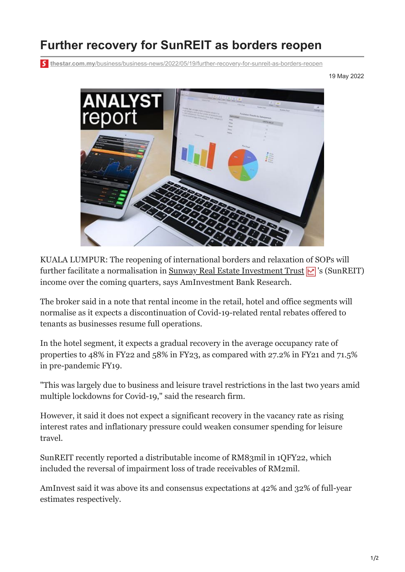## **Further recovery for SunREIT as borders reopen**

**thestar.com.my**[/business/business-news/2022/05/19/further-recovery-for-sunreit-as-borders-reopen](https://www.thestar.com.my/business/business-news/2022/05/19/further-recovery-for-sunreit-as-borders-reopen)

19 May 2022



KUALA LUMPUR: The reopening of international borders and relaxation of SOPs will further facilitate a normalisation in [Sunway Real Estate Investment Trust](https://www.thestar.com.my/business/marketwatch/stocks/?qcounter=SUNREIT)  $\triangledown$  's (SunREIT) income over the coming quarters, says AmInvestment Bank Research.

The broker said in a note that rental income in the retail, hotel and office segments will normalise as it expects a discontinuation of Covid-19-related rental rebates offered to tenants as businesses resume full operations.

In the hotel segment, it expects a gradual recovery in the average occupancy rate of properties to 48% in FY22 and 58% in FY23, as compared with 27.2% in FY21 and 71.5% in pre-pandemic FY19.

"This was largely due to business and leisure travel restrictions in the last two years amid multiple lockdowns for Covid-19," said the research firm.

However, it said it does not expect a significant recovery in the vacancy rate as rising interest rates and inflationary pressure could weaken consumer spending for leisure travel.

SunREIT recently reported a distributable income of RM83mil in 1QFY22, which included the reversal of impairment loss of trade receivables of RM2mil.

AmInvest said it was above its and consensus expectations at 42% and 32% of full-year estimates respectively.